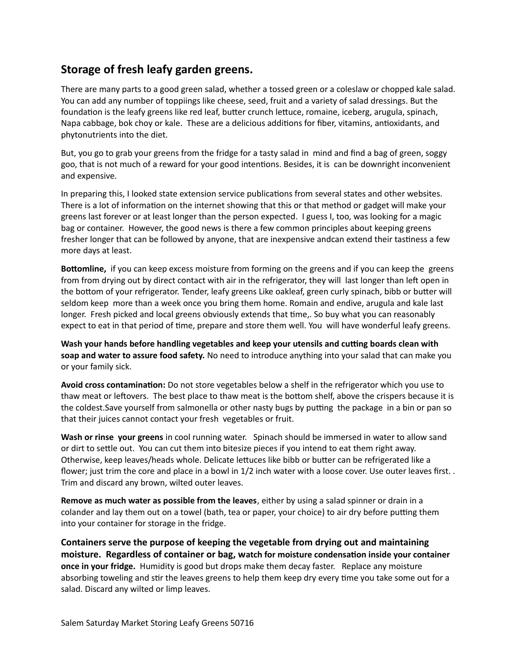## **Storage of fresh leafy garden greens.**

There are many parts to a good green salad, whether a tossed green or a coleslaw or chopped kale salad. You can add any number of toppiings like cheese, seed, fruit and a variety of salad dressings. But the foundation is the leafy greens like red leaf, butter crunch lettuce, romaine, iceberg, arugula, spinach, Napa cabbage, bok choy or kale. These are a delicious additions for fiber, vitamins, antioxidants, and phytonutrients into the diet.

But, you go to grab your greens from the fridge for a tasty salad in mind and find a bag of green, soggy goo, that is not much of a reward for your good intentions. Besides, it is can be downright inconvenient and expensive.

In preparing this, I looked state extension service publications from several states and other websites. There is a lot of information on the internet showing that this or that method or gadget will make your greens last forever or at least longer than the person expected. I guess I, too, was looking for a magic bag or container. However, the good news is there a few common principles about keeping greens fresher longer that can be followed by anyone, that are inexpensive andcan extend their tastiness a few more days at least.

**Bottomline,** if you can keep excess moisture from forming on the greens and if you can keep the greens from from drying out by direct contact with air in the refrigerator, they will last longer than left open in the bottom of your refrigerator. Tender, leafy greens Like oakleaf, green curly spinach, bibb or butter will seldom keep more than a week once you bring them home. Romain and endive, arugula and kale last longer. Fresh picked and local greens obviously extends that time,. So buy what you can reasonably expect to eat in that period of time, prepare and store them well. You will have wonderful leafy greens.

**Wash your hands before handling vegetables and keep your utensils and cutting boards clean with soap and water to assure food safety.** No need to introduce anything into your salad that can make you or your family sick.

**Avoid cross contamination:** Do not store vegetables below a shelf in the refrigerator which you use to thaw meat or leftovers. The best place to thaw meat is the bottom shelf, above the crispers because it is the coldest.Save yourself from salmonella or other nasty bugs by putting the package in a bin or pan so that their juices cannot contact your fresh vegetables or fruit.

**Wash or rinse your greens** in cool running water. Spinach should be immersed in water to allow sand or dirt to settle out. You can cut them into bitesize pieces if you intend to eat them right away. Otherwise, keep leaves/heads whole. Delicate lettuces like bibb or butter can be refrigerated like a flower; just trim the core and place in a bowl in 1/2 inch water with a loose cover. Use outer leaves first. . Trim and discard any brown, wilted outer leaves.

**Remove as much water as possible from the leaves**, either by using a salad spinner or drain in a colander and lay them out on a towel (bath, tea or paper, your choice) to air dry before putting them into your container for storage in the fridge.

**Containers serve the purpose of keeping the vegetable from drying out and maintaining moisture. Regardless of container or bag, watch for moisture condensation inside your container once in your fridge.** Humidity is good but drops make them decay faster. Replace any moisture absorbing toweling and stir the leaves greens to help them keep dry every time you take some out for a salad. Discard any wilted or limp leaves.